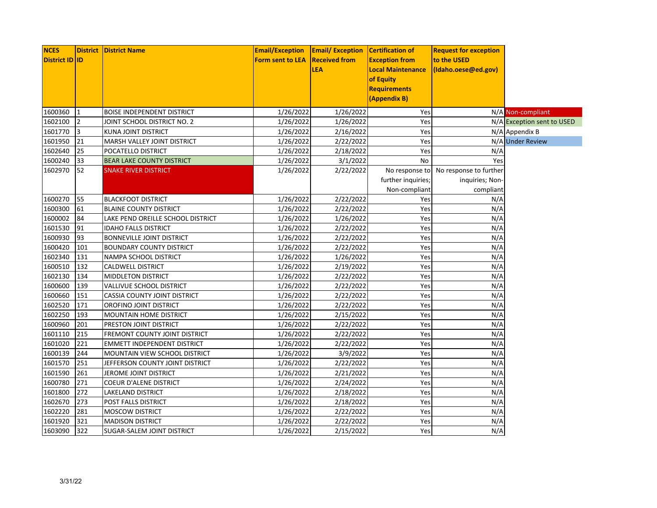| <b>NCES</b>           |                | <b>District   District Name</b>    | <b>Email/Exception</b>  | <b>Email/Exception</b> | Certification of         | <b>Request for exception</b>          |                            |
|-----------------------|----------------|------------------------------------|-------------------------|------------------------|--------------------------|---------------------------------------|----------------------------|
| <b>District ID ID</b> |                |                                    | <b>Form sent to LEA</b> | <b>Received from</b>   | <b>Exception from</b>    | to the USED                           |                            |
|                       |                |                                    |                         | <b>LEA</b>             | <b>Local Maintenance</b> | (Idaho.oese@ed.gov)                   |                            |
|                       |                |                                    |                         |                        | of Equity                |                                       |                            |
|                       |                |                                    |                         |                        | <b>Requirements</b>      |                                       |                            |
|                       |                |                                    |                         |                        | (Appendix B)             |                                       |                            |
| 1600360               | $\mathbf{1}$   | <b>BOISE INDEPENDENT DISTRICT</b>  | 1/26/2022               | 1/26/2022              | Yes                      |                                       | N/A Non-compliant          |
| 1602100               | $\overline{2}$ | JOINT SCHOOL DISTRICT NO. 2        | 1/26/2022               | 1/26/2022              | Yes                      |                                       | N/A Exception sent to USED |
| 1601770               | 3              | KUNA JOINT DISTRICT                | 1/26/2022               | 2/16/2022              | Yes                      |                                       | N/A Appendix B             |
| 1601950               | 21             | MARSH VALLEY JOINT DISTRICT        | 1/26/2022               | 2/22/2022              | Yes                      |                                       | N/A Under Review           |
| 1602640               | 25             | POCATELLO DISTRICT                 | 1/26/2022               | 2/18/2022              | Yes                      | N/A                                   |                            |
| 1600240               | 33             | <b>BEAR LAKE COUNTY DISTRICT</b>   | 1/26/2022               | 3/1/2022               | <b>No</b>                | Yes                                   |                            |
| 1602970               | 52             | <b>SNAKE RIVER DISTRICT</b>        | 1/26/2022               | 2/22/2022              |                          | No response to No response to further |                            |
|                       |                |                                    |                         |                        | further inquiries;       | inquiries; Non-                       |                            |
|                       |                |                                    |                         |                        | Non-compliant            | compliant                             |                            |
| 1600270               | 55             | <b>BLACKFOOT DISTRICT</b>          | 1/26/2022               | 2/22/2022              | Yes                      | N/A                                   |                            |
| 1600300               | 61             | <b>BLAINE COUNTY DISTRICT</b>      | 1/26/2022               | 2/22/2022              | Yes                      | N/A                                   |                            |
| 1600002               | 84             | LAKE PEND OREILLE SCHOOL DISTRICT  | 1/26/2022               | 1/26/2022              | Yes                      | N/A                                   |                            |
| 1601530               | 91             | <b>IDAHO FALLS DISTRICT</b>        | 1/26/2022               | 2/22/2022              | Yes                      | N/A                                   |                            |
| 1600930               | 93             | <b>BONNEVILLE JOINT DISTRICT</b>   | 1/26/2022               | 2/22/2022              | Yes                      | N/A                                   |                            |
| 1600420               | 101            | <b>BOUNDARY COUNTY DISTRICT</b>    | 1/26/2022               | 2/22/2022              | Yes                      | N/A                                   |                            |
| 1602340               | 131            | NAMPA SCHOOL DISTRICT              | 1/26/2022               | 1/26/2022              | Yes                      | N/A                                   |                            |
| 1600510               | 132            | CALDWELL DISTRICT                  | 1/26/2022               | 2/19/2022              | Yes                      | N/A                                   |                            |
| 1602130               | 134            | <b>MIDDLETON DISTRICT</b>          | 1/26/2022               | 2/22/2022              | Yes                      | N/A                                   |                            |
| 1600600               | 139            | VALLIVUE SCHOOL DISTRICT           | 1/26/2022               | 2/22/2022              | Yes                      | N/A                                   |                            |
| 1600660               | 151            | CASSIA COUNTY JOINT DISTRICT       | 1/26/2022               | 2/22/2022              | Yes                      | N/A                                   |                            |
| 1602520               | 171            | OROFINO JOINT DISTRICT             | 1/26/2022               | 2/22/2022              | Yes                      | N/A                                   |                            |
| 1602250               | 193            | MOUNTAIN HOME DISTRICT             | 1/26/2022               | 2/15/2022              | Yes                      | N/A                                   |                            |
| 1600960               | 201            | PRESTON JOINT DISTRICT             | 1/26/2022               | 2/22/2022              | Yes                      | N/A                                   |                            |
| 1601110               | 215            | FREMONT COUNTY JOINT DISTRICT      | 1/26/2022               | 2/22/2022              | Yes                      | N/A                                   |                            |
| 1601020               | 221            | <b>EMMETT INDEPENDENT DISTRICT</b> | 1/26/2022               | 2/22/2022              | Yes                      | N/A                                   |                            |
| 1600139               | 244            | MOUNTAIN VIEW SCHOOL DISTRICT      | 1/26/2022               | 3/9/2022               | Yes                      | N/A                                   |                            |
| 1601570               | 251            | JEFFERSON COUNTY JOINT DISTRICT    | 1/26/2022               | 2/22/2022              | Yes                      | N/A                                   |                            |
| 1601590               | 261            | JEROME JOINT DISTRICT              | 1/26/2022               | 2/21/2022              | Yes                      | N/A                                   |                            |
| 1600780               | 271            | COEUR D'ALENE DISTRICT             | 1/26/2022               | 2/24/2022              | Yes                      | N/A                                   |                            |
| 1601800               | 272            | LAKELAND DISTRICT                  | 1/26/2022               | 2/18/2022              | Yes                      | N/A                                   |                            |
| 1602670               | 273            | POST FALLS DISTRICT                | 1/26/2022               | 2/18/2022              | Yes                      | N/A                                   |                            |
| 1602220               | 281            | <b>MOSCOW DISTRICT</b>             | 1/26/2022               | 2/22/2022              | Yes                      | N/A                                   |                            |
| 1601920               | 321            | <b>MADISON DISTRICT</b>            | 1/26/2022               | 2/22/2022              | Yes                      | N/A                                   |                            |
| 1603090               | 322            | SUGAR-SALEM JOINT DISTRICT         | 1/26/2022               | 2/15/2022              | Yes                      | N/A                                   |                            |